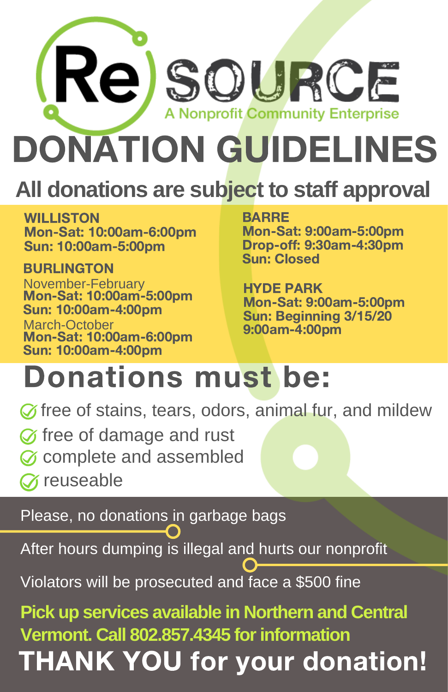

## **All donations are subject to staff approval**

WILLISTON Mon-Sat: 10:00am-6:00pm Sun: 10:00am-5:00pm

**BURLINGTON** November-February<br>**Mon-Sat: 10:00am-5:00pm** Sun: 10:00am-4:00pm March-October Mon-Sat: 10:00am-6:00pm Sun: 10:00am-4:00pm

### BARRE

Mon-Sat: 9:00am-5:00pm Drop-off: 9:30am-4:30pm Sun: Closed

HYDE PARK Mon-Sat: 9:00am-5:00pm Sun: Beginning 3/15/20 9:00am-4:00pm

## Donations must be:

 $\oslash$  free of stains, tears, odors, animal fur, and mildew

- $\oslash$  free of damage and rust
- Complete and assembled
- *T* reuseable

Please, no donations in garbage bags

After hours dumping is illegal and hurts our nonprofit

Violators will be prosecuted and face a \$500 fine

THANK YOU for your donation! **Pick up services available in Northern and Central Vermont. Call 802.857.4345 forinformation**